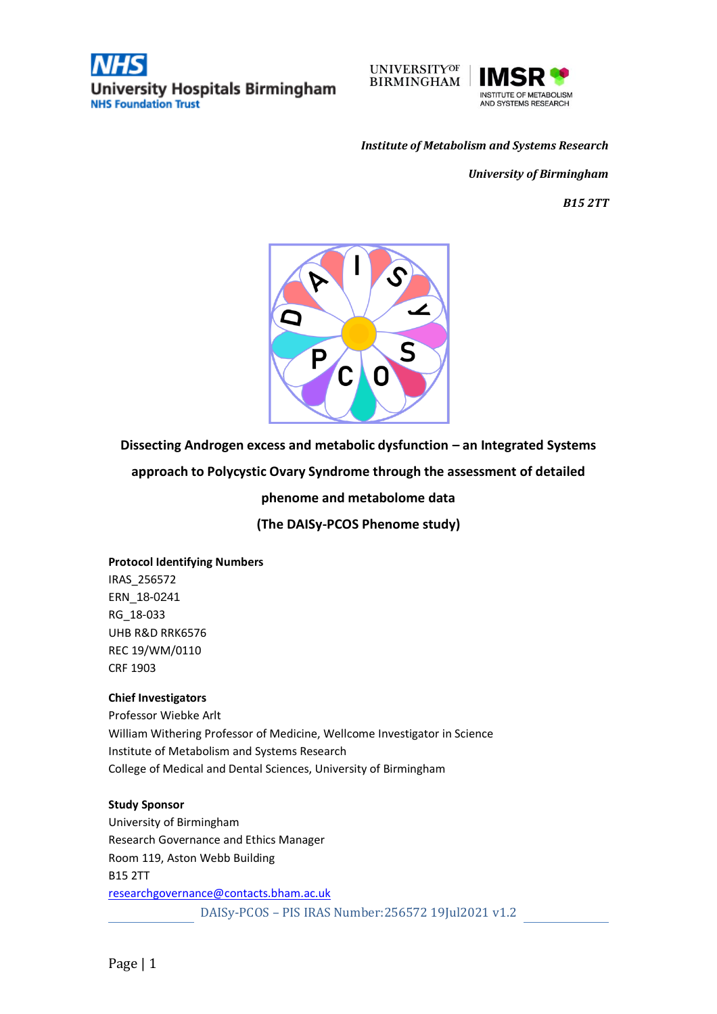



#### *Institute of Metabolism and Systems Research*

*University of Birmingham* 

*B15 2TT*



**Dissecting Androgen excess and metabolic dysfunction – an Integrated Systems** 

**approach to Polycystic Ovary Syndrome through the assessment of detailed** 

**phenome and metabolome data** 

**(The DAISy-PCOS Phenome study)**

#### **Protocol Identifying Numbers**

IRAS\_256572 ERN\_18-0241 RG\_18-033 UHB R&D RRK6576 REC 19/WM/0110 CRF 1903

#### **Chief Investigators**

Professor Wiebke Arlt William Withering Professor of Medicine, Wellcome Investigator in Science Institute of Metabolism and Systems Research College of Medical and Dental Sciences, University of Birmingham

#### **Study Sponsor**

DAISy-PCOS – PIS IRAS Number:256572 19Jul2021 v1.2 University of Birmingham Research Governance and Ethics Manager Room 119, Aston Webb Building B15 2TT [researchgovernance@contacts.bham.ac.uk](mailto:researchgovernance@contacts.bham.ac.uk)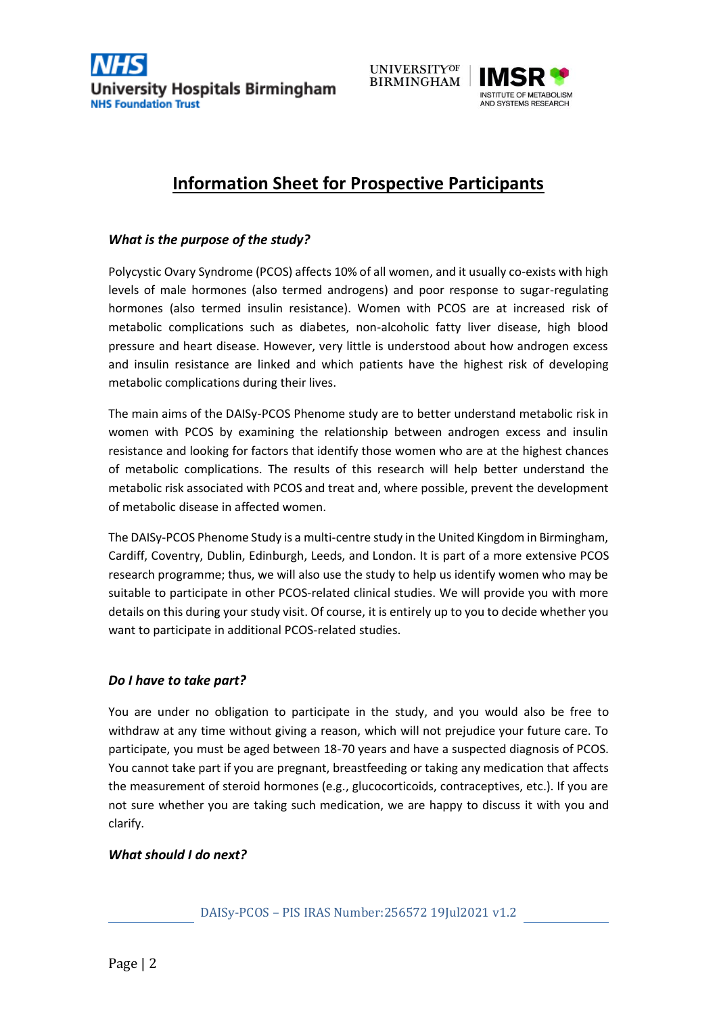



# **Information Sheet for Prospective Participants**

## *What is the purpose of the study?*

Polycystic Ovary Syndrome (PCOS) affects 10% of all women, and it usually co-exists with high levels of male hormones (also termed androgens) and poor response to sugar-regulating hormones (also termed insulin resistance). Women with PCOS are at increased risk of metabolic complications such as diabetes, non-alcoholic fatty liver disease, high blood pressure and heart disease. However, very little is understood about how androgen excess and insulin resistance are linked and which patients have the highest risk of developing metabolic complications during their lives.

The main aims of the DAISy-PCOS Phenome study are to better understand metabolic risk in women with PCOS by examining the relationship between androgen excess and insulin resistance and looking for factors that identify those women who are at the highest chances of metabolic complications. The results of this research will help better understand the metabolic risk associated with PCOS and treat and, where possible, prevent the development of metabolic disease in affected women.

The DAISy-PCOS Phenome Study is a multi-centre study in the United Kingdom in Birmingham, Cardiff, Coventry, Dublin, Edinburgh, Leeds, and London. It is part of a more extensive PCOS research programme; thus, we will also use the study to help us identify women who may be suitable to participate in other PCOS-related clinical studies. We will provide you with more details on this during your study visit. Of course, it is entirely up to you to decide whether you want to participate in additional PCOS-related studies.

### *Do I have to take part?*

You are under no obligation to participate in the study, and you would also be free to withdraw at any time without giving a reason, which will not prejudice your future care. To participate, you must be aged between 18-70 years and have a suspected diagnosis of PCOS. You cannot take part if you are pregnant, breastfeeding or taking any medication that affects the measurement of steroid hormones (e.g., glucocorticoids, contraceptives, etc.). If you are not sure whether you are taking such medication, we are happy to discuss it with you and clarify.

### *What should I do next?*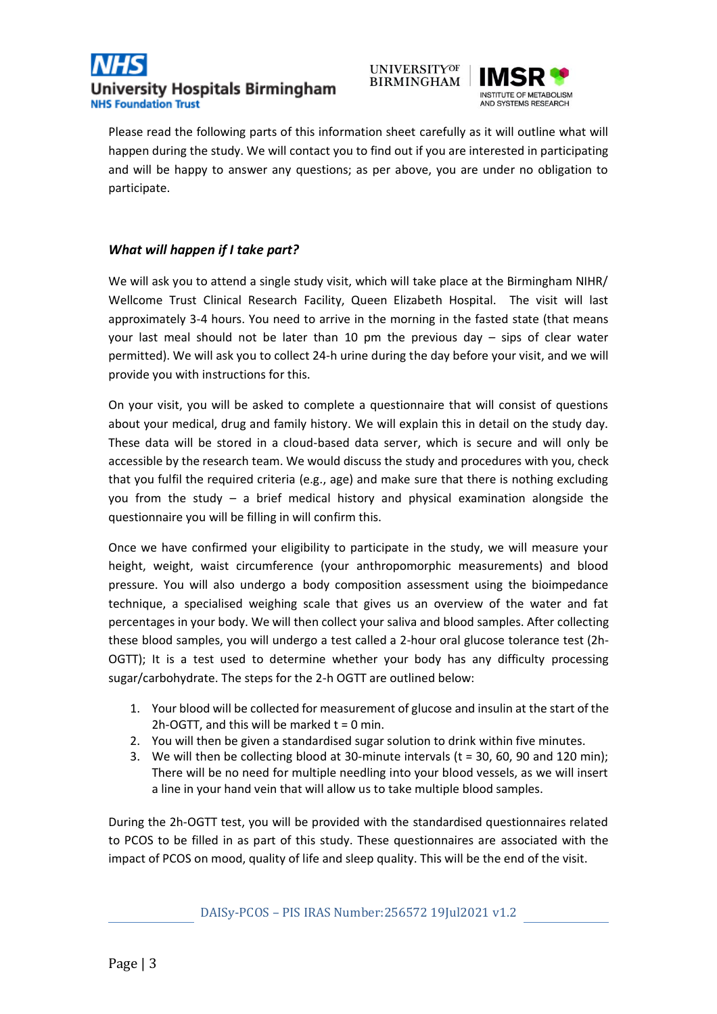



Please read the following parts of this information sheet carefully as it will outline what will happen during the study. We will contact you to find out if you are interested in participating and will be happy to answer any questions; as per above, you are under no obligation to participate.

# *What will happen if I take part?*

We will ask you to attend a single study visit, which will take place at the Birmingham NIHR/ Wellcome Trust Clinical Research Facility, Queen Elizabeth Hospital. The visit will last approximately 3-4 hours. You need to arrive in the morning in the fasted state (that means your last meal should not be later than 10 pm the previous day – sips of clear water permitted). We will ask you to collect 24-h urine during the day before your visit, and we will provide you with instructions for this.

On your visit, you will be asked to complete a questionnaire that will consist of questions about your medical, drug and family history. We will explain this in detail on the study day. These data will be stored in a cloud-based data server, which is secure and will only be accessible by the research team. We would discuss the study and procedures with you, check that you fulfil the required criteria (e.g., age) and make sure that there is nothing excluding you from the study – a brief medical history and physical examination alongside the questionnaire you will be filling in will confirm this.

Once we have confirmed your eligibility to participate in the study, we will measure your height, weight, waist circumference (your anthropomorphic measurements) and blood pressure. You will also undergo a body composition assessment using the bioimpedance technique, a specialised weighing scale that gives us an overview of the water and fat percentages in your body. We will then collect your saliva and blood samples. After collecting these blood samples, you will undergo a test called a 2-hour oral glucose tolerance test (2h-OGTT); It is a test used to determine whether your body has any difficulty processing sugar/carbohydrate. The steps for the 2-h OGTT are outlined below:

- 1. Your blood will be collected for measurement of glucose and insulin at the start of the 2h-OGTT, and this will be marked  $t = 0$  min.
- 2. You will then be given a standardised sugar solution to drink within five minutes.
- 3. We will then be collecting blood at 30-minute intervals ( $t = 30$ , 60, 90 and 120 min); There will be no need for multiple needling into your blood vessels, as we will insert a line in your hand vein that will allow us to take multiple blood samples.

During the 2h-OGTT test, you will be provided with the standardised questionnaires related to PCOS to be filled in as part of this study. These questionnaires are associated with the impact of PCOS on mood, quality of life and sleep quality. This will be the end of the visit.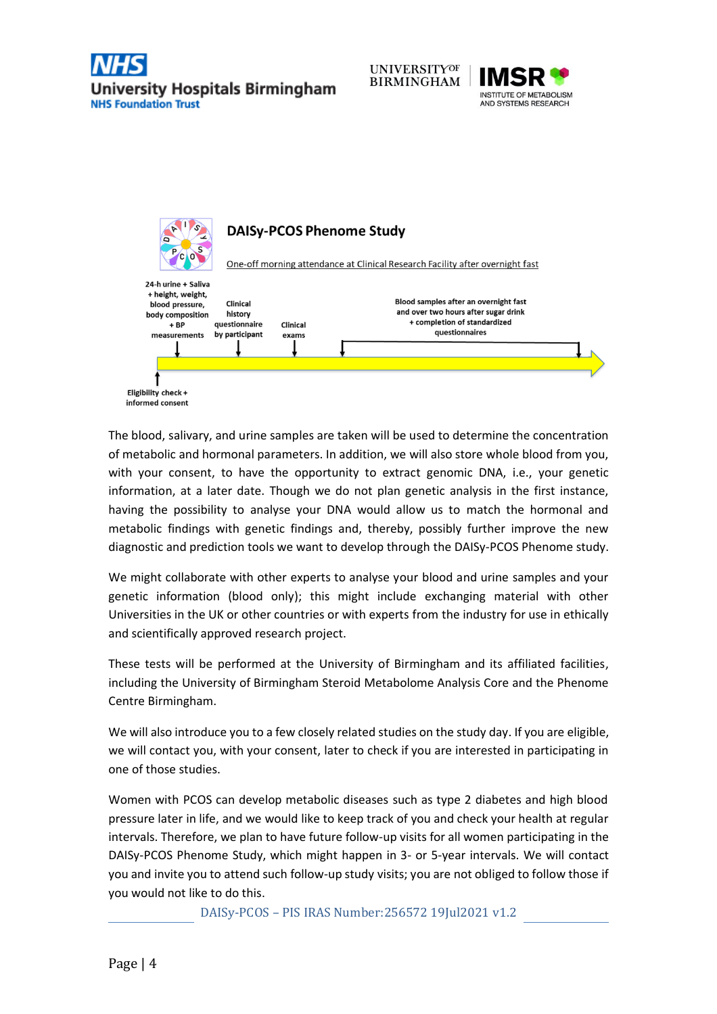





The blood, salivary, and urine samples are taken will be used to determine the concentration of metabolic and hormonal parameters. In addition, we will also store whole blood from you, with your consent, to have the opportunity to extract genomic DNA, i.e., your genetic information, at a later date. Though we do not plan genetic analysis in the first instance, having the possibility to analyse your DNA would allow us to match the hormonal and metabolic findings with genetic findings and, thereby, possibly further improve the new diagnostic and prediction tools we want to develop through the DAISy-PCOS Phenome study.

We might collaborate with other experts to analyse your blood and urine samples and your genetic information (blood only); this might include exchanging material with other Universities in the UK or other countries or with experts from the industry for use in ethically and scientifically approved research project.

These tests will be performed at the University of Birmingham and its affiliated facilities, including the University of Birmingham Steroid Metabolome Analysis Core and the Phenome Centre Birmingham.

We will also introduce you to a few closely related studies on the study day. If you are eligible, we will contact you, with your consent, later to check if you are interested in participating in one of those studies.

Women with PCOS can develop metabolic diseases such as type 2 diabetes and high blood pressure later in life, and we would like to keep track of you and check your health at regular intervals. Therefore, we plan to have future follow-up visits for all women participating in the DAISy-PCOS Phenome Study, which might happen in 3- or 5-year intervals. We will contact you and invite you to attend such follow-up study visits; you are not obliged to follow those if you would not like to do this.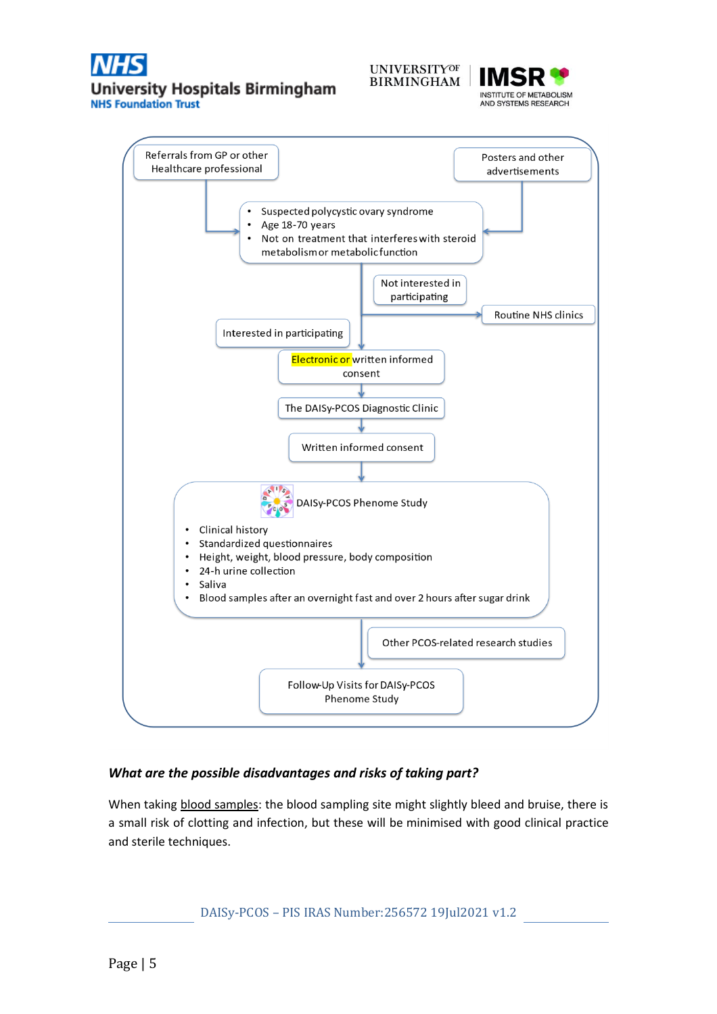



Referrals from GP or other Posters and other Healthcare professional advertisements Suspected polycystic ovary syndrome Age 18-70 years Not on treatment that interferes with steroid metabolism or metabolic function Not interested in participating **Routine NHS clinics** Interested in participating Electronic or written informed consent The DAISy-PCOS Diagnostic Clinic Written informed consent DAISy-PCOS Phenome Study • Clinical history Standardized questionnaires  $\bullet$ Height, weight, blood pressure, body composition  $\bullet$  $\bullet$ 24-h urine collection Saliva Blood samples after an overnight fast and over 2 hours after sugar drink  $\bullet$ Other PCOS-related research studies Follow-Up Visits for DAISy-PCOS Phenome Study

### *What are the possible disadvantages and risks of taking part?*

When taking blood samples: the blood sampling site might slightly bleed and bruise, there is a small risk of clotting and infection, but these will be minimised with good clinical practice and sterile techniques.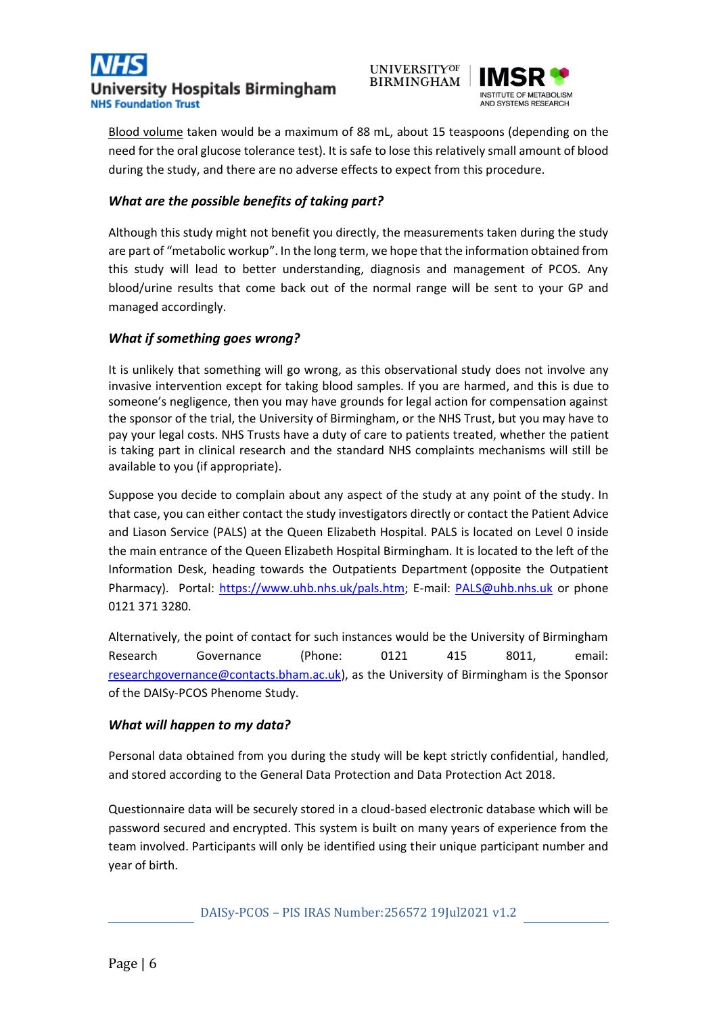





Blood volume taken would be a maximum of 88 mL, about 15 teaspoons (depending on the need for the oral glucose tolerance test). It is safe to lose this relatively small amount of blood during the study, and there are no adverse effects to expect from this procedure.

# *What are the possible benefits of taking part?*

Although this study might not benefit you directly, the measurements taken during the study are part of "metabolic workup". In the long term, we hope that the information obtained from this study will lead to better understanding, diagnosis and management of PCOS. Any blood/urine results that come back out of the normal range will be sent to your GP and managed accordingly.

## *What if something goes wrong?*

It is unlikely that something will go wrong, as this observational study does not involve any invasive intervention except for taking blood samples. If you are harmed, and this is due to someone's negligence, then you may have grounds for legal action for compensation against the sponsor of the trial, the University of Birmingham, or the NHS Trust, but you may have to pay your legal costs. NHS Trusts have a duty of care to patients treated, whether the patient is taking part in clinical research and the standard NHS complaints mechanisms will still be available to you (if appropriate).

Suppose you decide to complain about any aspect of the study at any point of the study. In that case, you can either contact the study investigators directly or contact the Patient Advice and Liason Service (PALS) at the Queen Elizabeth Hospital. PALS is located on Level 0 inside the main entrance of the Queen Elizabeth Hospital Birmingham. It is located to the left of the Information Desk, heading towards the Outpatients Department (opposite the Outpatient Pharmacy). Portal: [https://www.uhb.nhs.uk/pals.htm;](https://www.uhb.nhs.uk/pals.htm) E-mail: [PALS@uhb.nhs.uk](mailto:PALS@uhb.nhs.uk) or phone 0121 371 3280.

Alternatively, the point of contact for such instances would be the University of Birmingham Research Governance (Phone: 0121 415 8011, email: [researchgovernance@contacts.bham.ac.uk\)](mailto:researchgovernance@contacts.bham.ac.uk), as the University of Birmingham is the Sponsor of the DAISy-PCOS Phenome Study.

### *What will happen to my data?*

Personal data obtained from you during the study will be kept strictly confidential, handled, and stored according to the General Data Protection and Data Protection Act 2018.

Questionnaire data will be securely stored in a cloud-based electronic database which will be password secured and encrypted. This system is built on many years of experience from the team involved. Participants will only be identified using their unique participant number and year of birth.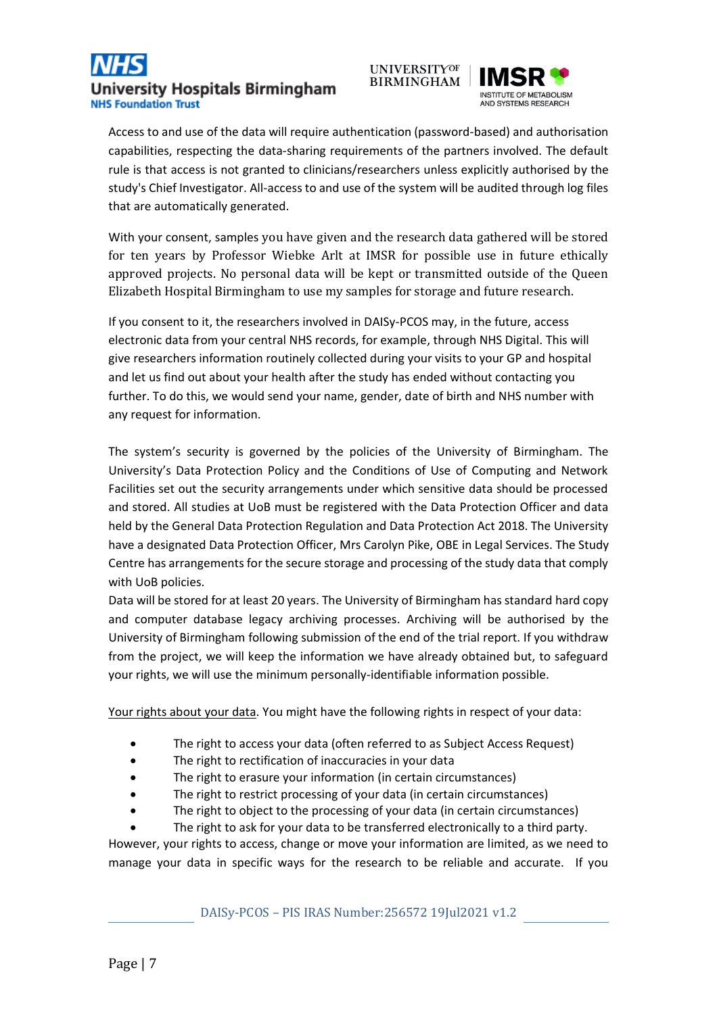





Access to and use of the data will require authentication (password-based) and authorisation capabilities, respecting the data-sharing requirements of the partners involved. The default rule is that access is not granted to clinicians/researchers unless explicitly authorised by the study's Chief Investigator. All-access to and use of the system will be audited through log files that are automatically generated.

With your consent, samples you have given and the research data gathered will be stored for ten years by Professor Wiebke Arlt at IMSR for possible use in future ethically approved projects. No personal data will be kept or transmitted outside of the Queen Elizabeth Hospital Birmingham to use my samples for storage and future research.

If you consent to it, the researchers involved in DAISy-PCOS may, in the future, access electronic data from your central NHS records, for example, through NHS Digital. This will give researchers information routinely collected during your visits to your GP and hospital and let us find out about your health after the study has ended without contacting you further. To do this, we would send your name, gender, date of birth and NHS number with any request for information.

The system's security is governed by the policies of the University of Birmingham. The University's Data Protection Policy and the Conditions of Use of Computing and Network Facilities set out the security arrangements under which sensitive data should be processed and stored. All studies at UoB must be registered with the Data Protection Officer and data held by the General Data Protection Regulation and Data Protection Act 2018. The University have a designated Data Protection Officer, Mrs Carolyn Pike, OBE in Legal Services. The Study Centre has arrangements for the secure storage and processing of the study data that comply with UoB policies.

Data will be stored for at least 20 years. The University of Birmingham has standard hard copy and computer database legacy archiving processes. Archiving will be authorised by the University of Birmingham following submission of the end of the trial report. If you withdraw from the project, we will keep the information we have already obtained but, to safeguard your rights, we will use the minimum personally-identifiable information possible.

Your rights about your data. You might have the following rights in respect of your data:

- The right to access your data (often referred to as Subject Access Request)
- The right to rectification of inaccuracies in your data
- The right to erasure your information (in certain circumstances)
- The right to restrict processing of your data (in certain circumstances)
- The right to object to the processing of your data (in certain circumstances)

The right to ask for your data to be transferred electronically to a third party. However, your rights to access, change or move your information are limited, as we need to manage your data in specific ways for the research to be reliable and accurate. If you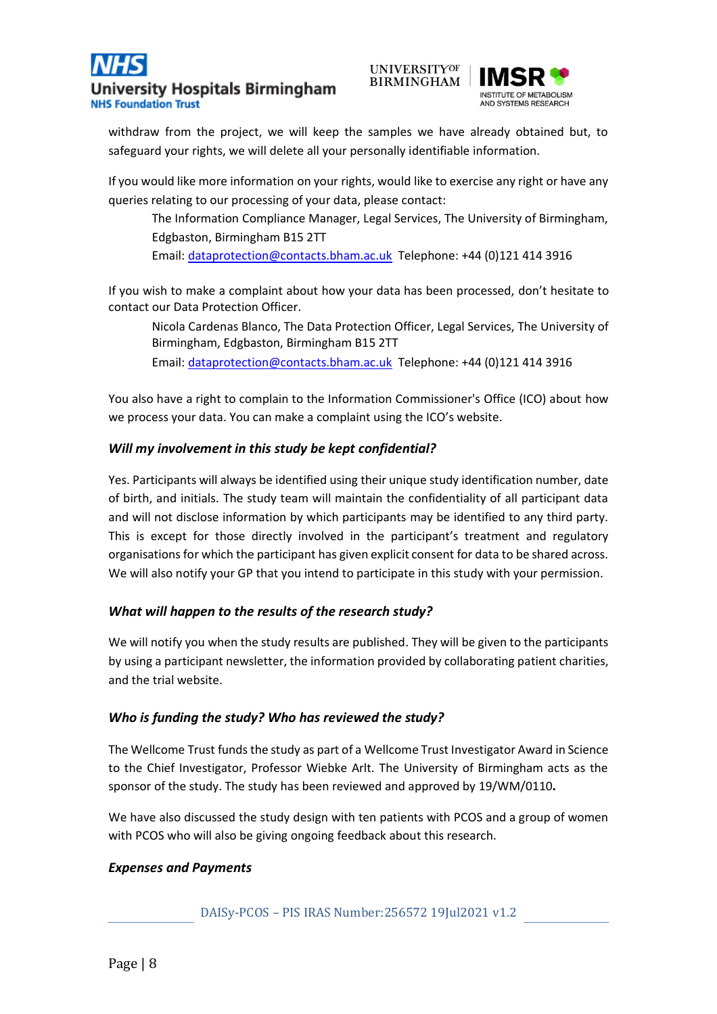



withdraw from the project, we will keep the samples we have already obtained but, to safeguard your rights, we will delete all your personally identifiable information.

If you would like more information on your rights, would like to exercise any right or have any queries relating to our processing of your data, please contact:

The Information Compliance Manager, Legal Services, The University of Birmingham, Edgbaston, Birmingham B15 2TT Email: [dataprotection@contacts.bham.ac.uk](mailto:dataprotection@contacts.bham.ac.uk) Telephone: +44 (0)121 414 3916

If you wish to make a complaint about how your data has been processed, don't hesitate to contact our Data Protection Officer.

Nicola Cardenas Blanco, The Data Protection Officer, Legal Services, The University of Birmingham, Edgbaston, Birmingham B15 2TT Email: [dataprotection@contacts.bham.ac.uk](mailto:dataprotection@contacts.bham.ac.uk) Telephone: +44 (0)121 414 3916

You also have a right to complain to the Information Commissioner's Office (ICO) about how we process your data. You can make a complaint using the ICO's website.

### *Will my involvement in this study be kept confidential?*

Yes. Participants will always be identified using their unique study identification number, date of birth, and initials. The study team will maintain the confidentiality of all participant data and will not disclose information by which participants may be identified to any third party. This is except for those directly involved in the participant's treatment and regulatory organisations for which the participant has given explicit consent for data to be shared across. We will also notify your GP that you intend to participate in this study with your permission.

### *What will happen to the results of the research study?*

We will notify you when the study results are published. They will be given to the participants by using a participant newsletter, the information provided by collaborating patient charities, and the trial website.

#### *Who is funding the study? Who has reviewed the study?*

The Wellcome Trust funds the study as part of a Wellcome Trust Investigator Award in Science to the Chief Investigator, Professor Wiebke Arlt. The University of Birmingham acts as the sponsor of the study. The study has been reviewed and approved by 19/WM/0110**.**

We have also discussed the study design with ten patients with PCOS and a group of women with PCOS who will also be giving ongoing feedback about this research.

#### *Expenses and Payments*